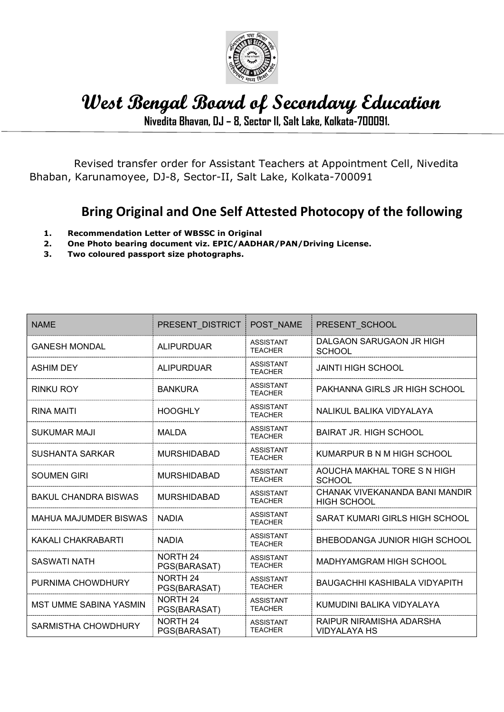

## West Bengal Board of Secondary Education

Nivedita Bhavan, DJ – 8, Sector II, Salt Lake, Kolkata-700091.

 Revised transfer order for Assistant Teachers at Appointment Cell, Nivedita Bhaban, Karunamoyee, DJ-8, Sector-II, Salt Lake, Kolkata-700091

## Bring Original and One Self Attested Photocopy of the following

- 1. Recommendation Letter of WBSSC in Original
- 2. One Photo bearing document viz. EPIC/AADHAR/PAN/Driving License.
- 3. Two coloured passport size photographs.

| <b>NAME</b>                   | PRESENT DISTRICT         | POST NAME                          | PRESENT SCHOOL                                       |
|-------------------------------|--------------------------|------------------------------------|------------------------------------------------------|
| <b>GANESH MONDAL</b>          | <b>ALIPURDUAR</b>        | <b>ASSISTANT</b><br><b>TEACHER</b> | DALGAON SARUGAON JR HIGH<br><b>SCHOOL</b>            |
| <b>ASHIM DEY</b>              | <b>ALIPURDUAR</b>        | <b>ASSISTANT</b><br><b>TEACHER</b> | <b>JAINTI HIGH SCHOOL</b>                            |
| RINKU ROY                     | <b>BANKURA</b>           | <b>ASSISTANT</b><br><b>TEACHER</b> | PAKHANNA GIRLS JR HIGH SCHOOL                        |
| <b>RINA MAITI</b>             | <b>HOOGHLY</b>           | <b>ASSISTANT</b><br><b>TEACHER</b> | NALIKUL BALIKA VIDYALAYA                             |
| <b>SUKUMAR MAJI</b>           | <b>MALDA</b>             | <b>ASSISTANT</b><br><b>TEACHER</b> | <b>BAIRAT JR. HIGH SCHOOL</b>                        |
| <b>SUSHANTA SARKAR</b>        | <b>MURSHIDABAD</b>       | <b>ASSISTANT</b><br><b>TEACHER</b> | KUMARPUR B N M HIGH SCHOOL                           |
| SOUMEN GIRI                   | <b>MURSHIDABAD</b>       | <b>ASSISTANT</b><br><b>TEACHER</b> | AOUCHA MAKHAL TORE S N HIGH<br><b>SCHOOL</b>         |
| <b>BAKUL CHANDRA BISWAS</b>   | <b>MURSHIDABAD</b>       | <b>ASSISTANT</b><br><b>TEACHER</b> | CHANAK VIVEKANANDA BANI MANDIR<br><b>HIGH SCHOOL</b> |
| MAHUA MAJUMDER BISWAS         | <b>NADIA</b>             | <b>ASSISTANT</b><br><b>TEACHER</b> | SARAT KUMARI GIRLS HIGH SCHOOL                       |
| KAKALI CHAKRABARTI            | <b>NADIA</b>             | <b>ASSISTANT</b><br><b>TEACHER</b> | BHEBODANGA JUNIOR HIGH SCHOOL                        |
| <b>SASWATI NATH</b>           | NORTH 24<br>PGS(BARASAT) | <b>ASSISTANT</b><br><b>TEACHER</b> | MADHYAMGRAM HIGH SCHOOL                              |
| PURNIMA CHOWDHURY             | NORTH 24<br>PGS(BARASAT) | <b>ASSISTANT</b><br><b>TEACHER</b> | BAUGACHHI KASHIBALA VIDYAPITH                        |
| <b>MST UMME SABINA YASMIN</b> | NORTH 24<br>PGS(BARASAT) | <b>ASSISTANT</b><br><b>TEACHER</b> | KUMUDINI BALIKA VIDYALAYA                            |
| SARMISTHA CHOWDHURY           | NORTH 24<br>PGS(BARASAT) | <b>ASSISTANT</b><br><b>TEACHER</b> | RAIPUR NIRAMISHA ADARSHA<br>VIDYALAYA HS             |